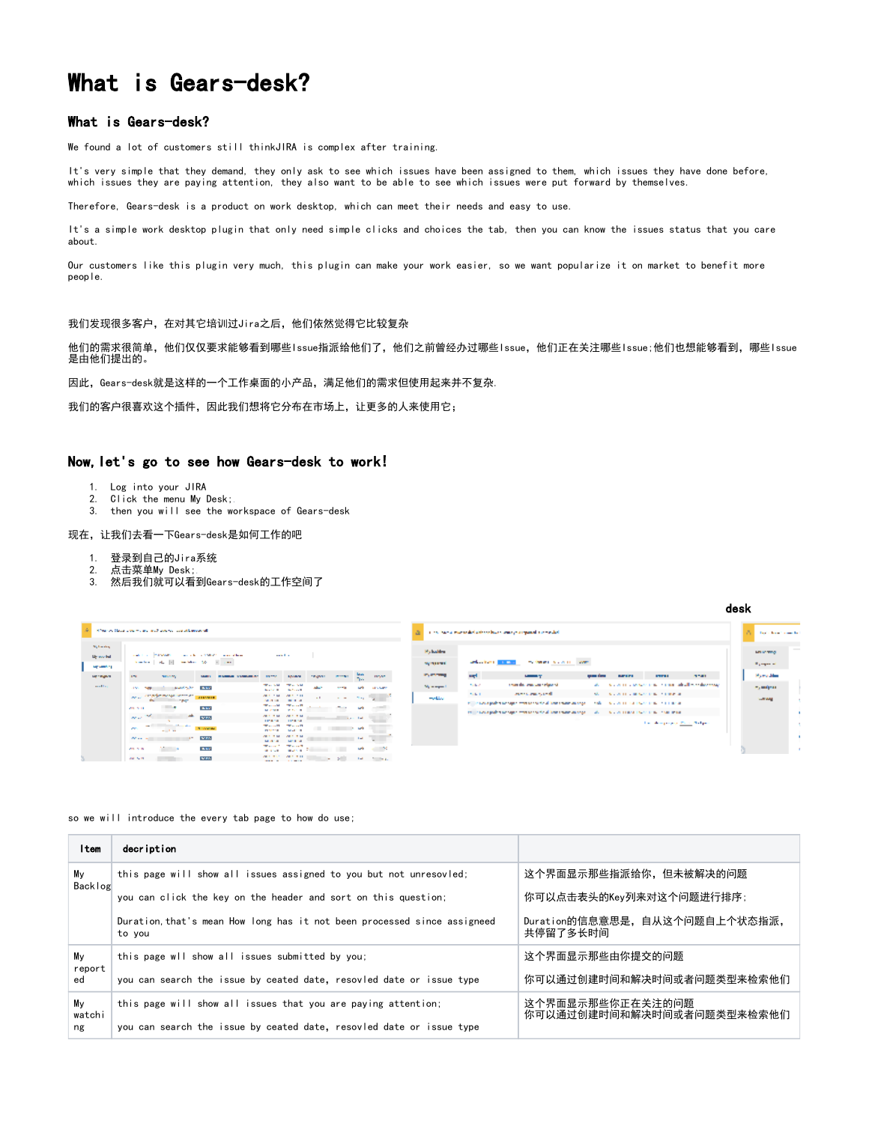# What is Gears-desk?

### What is Gears-desk?

We found a lot of customers still thinkJIRA is complex after training.

It's very simple that they demand, they only ask to see which issues have been assigned to them, which issues they have done before, which issues they are paying attention, they also want to be able to see which issues were put forward by themselves.

Therefore, Gears-desk is a product on work desktop, which can meet their needs and easy to use.

It's a simple work desktop plugin that only need simple clicks and choices the tab, then you can know the issues status that you care about.

Our customers like this plugin very much, this plugin can make your work easier, so we want popularize it on market to benefit more people.

#### 我们发现很多客户,在对其它培训过Jira之后,他们依然觉得它比较复杂

他们的需求很简单,他们仅仅要求能够看到哪些Issue指派给他们了,他们之前曾经办过哪些Issue,他们正在关注哪些Issue;他们也想能够看到,哪些Issue 是由他们提出的。

因此, Gears-desk就是这样的一个工作桌面的小产品, 满足他们的需求但使用起来并不复杂.

我们的客户很喜欢这个插件,因此我们想将它分布在市场上,让更多的人来使用它;

## Now,let's go to see how Gears-desk to work!

- 1. Log into your JIRA
- 2. Click the menu My Desk;.
- 3. then you will see the workspace of Gears-desk

#### 现在,让我们去看一下Gears-desk是如何工作的吧

- 1. 登录到自己的Jira系统
- 2. 点击菜单My Desk;.
- 3. 然后我们就可以看到Gears-desk的工作空间了

|                                                | Mine and Island articles and an experimental contributions of                                                                                                                                                                                                                    |                   |                                                                                         |                                |                                                        |                                          |                                     | in the basis managed although and constructed survivaled.                                                                                   |                 |                           |                                                          |
|------------------------------------------------|----------------------------------------------------------------------------------------------------------------------------------------------------------------------------------------------------------------------------------------------------------------------------------|-------------------|-----------------------------------------------------------------------------------------|--------------------------------|--------------------------------------------------------|------------------------------------------|-------------------------------------|---------------------------------------------------------------------------------------------------------------------------------------------|-----------------|---------------------------|----------------------------------------------------------|
| William Ave.<br><b>Denvelop</b><br>say samples | the complete state of the complete and the complete state of the complete state of the complete state of the complete state of the complete state of the complete state of the complete state of the complete state of the com<br>Standard St., N. St., St., St., St., St., St., |                   | <b>Sales Brand</b>                                                                      |                                |                                                        |                                          | <b>Malazine</b><br><b>SECRETARY</b> | modern system were<br><b>Service Controller Service</b>                                                                                     |                 |                           |                                                          |
| <b>METROPICS</b>                               | <b>APRIL</b><br><b>NEW YORK</b>                                                                                                                                                                                                                                                  |                   | <b>SPARKS</b>                                                                           | <b>PERMIT</b>                  |                                                        | ÷.<br><b>CONTRACT</b>                    | in, annual<br>and.                  |                                                                                                                                             | <b>BARTLESS</b> | <b>STERE</b>              | <b>STATE</b>                                             |
| 1.1111                                         | manufacturer and access<br>and the company of the                                                                                                                                                                                                                                |                   | The control of the control of the<br><b>Basic Room Baltimore</b>                        | advert-                        |                                                        | and which are the                        | 1942<br>My marginal                 | countries and control of<br>and the animal state of                                                                                         |                 |                           | With a contract of the same state and all the decreases. |
|                                                | and complements where an annual<br><b>WELFARE</b>                                                                                                                                                                                                                                | <b>BAV</b>        | WELL-SALE WELL-STEEL<br>case of the control of<br><b>The countries of the countries</b> | the company of the company and |                                                        | and the second state of the<br>$\sim$    | 2010/11/11<br><b>Hortune</b>        | of the contract with the same contractor for all contractor access to the first state of the contractor of the contractor of the contractor |                 | AND CONTRACTOR CONTRACTOR |                                                          |
|                                                | and the same of the same                                                                                                                                                                                                                                                         |                   | ALCOHOL: YESUEN<br><b>WELL MAY WANTED</b><br><b>CONTRACTOR CONTRACTOR</b>               |                                |                                                        | the company's contract that the company  |                                     | the interest pathology agent was as the first found have a stage (1) which is a constrained interest as a constraint and                    |                 | The company's Procedures  |                                                          |
|                                                | $\sigma_{\rm{max}}=1.00\pm0.000$ . The mass $^{-1}$<br>West of Contract of                                                                                                                                                                                                       | <b>CONTRACTOR</b> | measure the com-<br><b>PERMIT REAL PROPERTY</b><br><b>WELL MISS CONTROLLED</b>          |                                | <b>CONTRACTOR</b> IN 1979.<br><b>Contract Contract</b> | $\overline{a}$                           |                                     |                                                                                                                                             |                 |                           |                                                          |
|                                                | <b>Service</b><br><b>AND NOW</b>                                                                                                                                                                                                                                                 | <b>Base</b>       | <b>MONTH MONTH</b><br><b>PRODUCT CONTRACTOR</b><br>where the property of the control of |                                |                                                        | <b>Contract Contract</b><br><b>Santo</b> |                                     |                                                                                                                                             |                 |                           |                                                          |
|                                                | 49.5470                                                                                                                                                                                                                                                                          | <b>SCIENT</b>     | WELL-STOCK WARRANT<br><b>Service Contract Contract Contract</b>                         |                                |                                                        | the control of the control               |                                     |                                                                                                                                             |                 |                           |                                                          |

desk

so we will introduce the every tab page to how do use;

| ltem               | decription                                                                                                                            |                                               |
|--------------------|---------------------------------------------------------------------------------------------------------------------------------------|-----------------------------------------------|
| Mv<br>Backlog      | this page will show all issues assigned to you but not unresovled;                                                                    | 这个界面显示那些指派给你,但未被解决的问题                         |
|                    | you can click the key on the header and sort on this question;                                                                        | 你可以点击表头的Key列来对这个问题进行排序;                       |
|                    | Duration, that's mean How long has it not been processed since assigneed<br>to vou                                                    | Duration的信息意思是,自从这个问题自上个状态指派,<br>共停留了多长时间     |
| Mv<br>report<br>ed | this page wll show all issues submitted by you;                                                                                       | 这个界面显示那些由你提交的问题                               |
|                    | you can search the issue by ceated date, resovied date or issue type                                                                  | 你可以通过创建时间和解决时间或者问题类型来检索他们                     |
| Mv<br>watchi<br>ng | this page will show all issues that you are paying attention;<br>you can search the issue by ceated date, resovied date or issue type | 这个界面显示那些你正在关注的问题<br>你可以通过创建时间和解决时间或者问题类型来检索他们 |